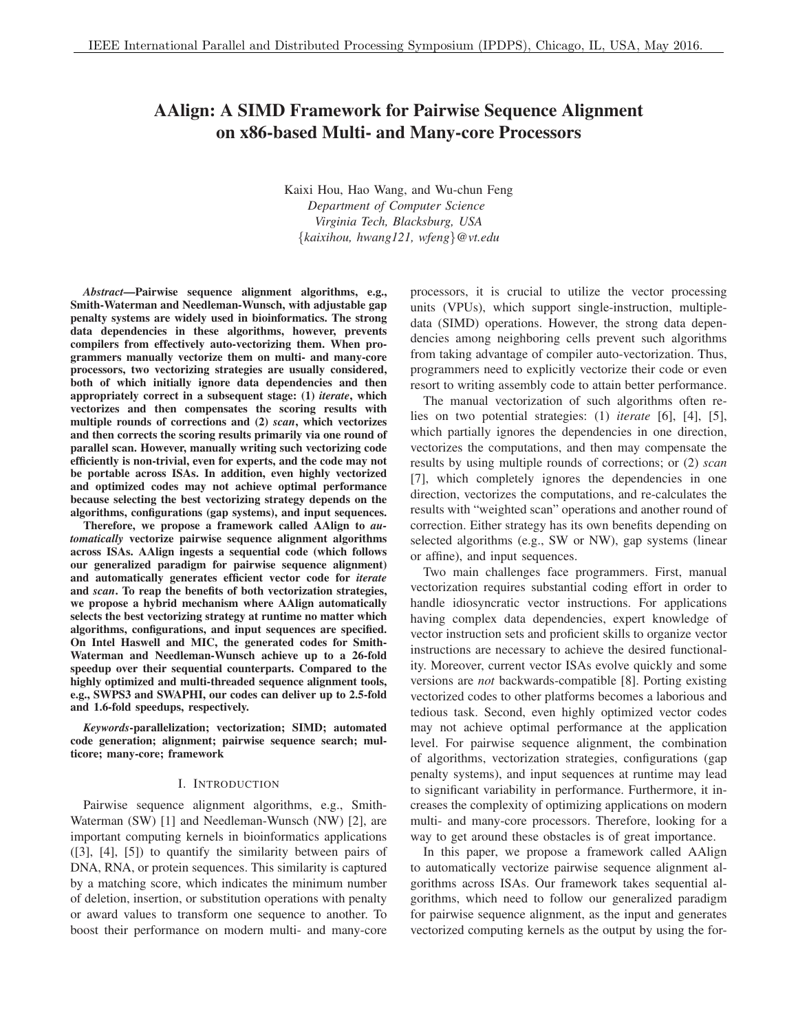# AAlign: A SIMD Framework for Pairwise Sequence Alignment on x86-based Multi- and Many-core Processors

Kaixi Hou, Hao Wang, and Wu-chun Feng *Department of Computer Science Virginia Tech, Blacksburg, USA* {*kaixihou, hwang121, wfeng*}*@vt.edu*

*Abstract*—Pairwise sequence alignment algorithms, e.g., Smith-Waterman and Needleman-Wunsch, with adjustable gap penalty systems are widely used in bioinformatics. The strong data dependencies in these algorithms, however, prevents compilers from effectively auto-vectorizing them. When programmers manually vectorize them on multi- and many-core processors, two vectorizing strategies are usually considered, both of which initially ignore data dependencies and then appropriately correct in a subsequent stage: (1) *iterate*, which vectorizes and then compensates the scoring results with multiple rounds of corrections and (2) *scan*, which vectorizes and then corrects the scoring results primarily via one round of parallel scan. However, manually writing such vectorizing code efficiently is non-trivial, even for experts, and the code may not be portable across ISAs. In addition, even highly vectorized and optimized codes may not achieve optimal performance because selecting the best vectorizing strategy depends on the algorithms, configurations (gap systems), and input sequences.

Therefore, we propose a framework called AAlign to *automatically* vectorize pairwise sequence alignment algorithms across ISAs. AAlign ingests a sequential code (which follows our generalized paradigm for pairwise sequence alignment) and automatically generates efficient vector code for *iterate* and *scan*. To reap the benefits of both vectorization strategies, we propose a hybrid mechanism where AAlign automatically selects the best vectorizing strategy at runtime no matter which algorithms, configurations, and input sequences are specified. On Intel Haswell and MIC, the generated codes for Smith-Waterman and Needleman-Wunsch achieve up to a 26-fold speedup over their sequential counterparts. Compared to the highly optimized and multi-threaded sequence alignment tools, e.g., SWPS3 and SWAPHI, our codes can deliver up to 2.5-fold and 1.6-fold speedups, respectively.

*Keywords*-parallelization; vectorization; SIMD; automated code generation; alignment; pairwise sequence search; multicore; many-core; framework

## I. INTRODUCTION

Pairwise sequence alignment algorithms, e.g., Smith-Waterman (SW) [1] and Needleman-Wunsch (NW) [2], are important computing kernels in bioinformatics applications ([3], [4], [5]) to quantify the similarity between pairs of DNA, RNA, or protein sequences. This similarity is captured by a matching score, which indicates the minimum number of deletion, insertion, or substitution operations with penalty or award values to transform one sequence to another. To boost their performance on modern multi- and many-core processors, it is crucial to utilize the vector processing units (VPUs), which support single-instruction, multipledata (SIMD) operations. However, the strong data dependencies among neighboring cells prevent such algorithms from taking advantage of compiler auto-vectorization. Thus, programmers need to explicitly vectorize their code or even resort to writing assembly code to attain better performance.

The manual vectorization of such algorithms often relies on two potential strategies: (1) *iterate* [6], [4], [5], which partially ignores the dependencies in one direction, vectorizes the computations, and then may compensate the results by using multiple rounds of corrections; or (2) *scan* [7], which completely ignores the dependencies in one direction, vectorizes the computations, and re-calculates the results with "weighted scan" operations and another round of correction. Either strategy has its own benefits depending on selected algorithms (e.g., SW or NW), gap systems (linear or affine), and input sequences.

Two main challenges face programmers. First, manual vectorization requires substantial coding effort in order to handle idiosyncratic vector instructions. For applications having complex data dependencies, expert knowledge of vector instruction sets and proficient skills to organize vector instructions are necessary to achieve the desired functionality. Moreover, current vector ISAs evolve quickly and some versions are *not* backwards-compatible [8]. Porting existing vectorized codes to other platforms becomes a laborious and tedious task. Second, even highly optimized vector codes may not achieve optimal performance at the application level. For pairwise sequence alignment, the combination of algorithms, vectorization strategies, configurations (gap penalty systems), and input sequences at runtime may lead to significant variability in performance. Furthermore, it increases the complexity of optimizing applications on modern multi- and many-core processors. Therefore, looking for a way to get around these obstacles is of great importance.

In this paper, we propose a framework called AAlign to automatically vectorize pairwise sequence alignment algorithms across ISAs. Our framework takes sequential algorithms, which need to follow our generalized paradigm for pairwise sequence alignment, as the input and generates vectorized computing kernels as the output by using the for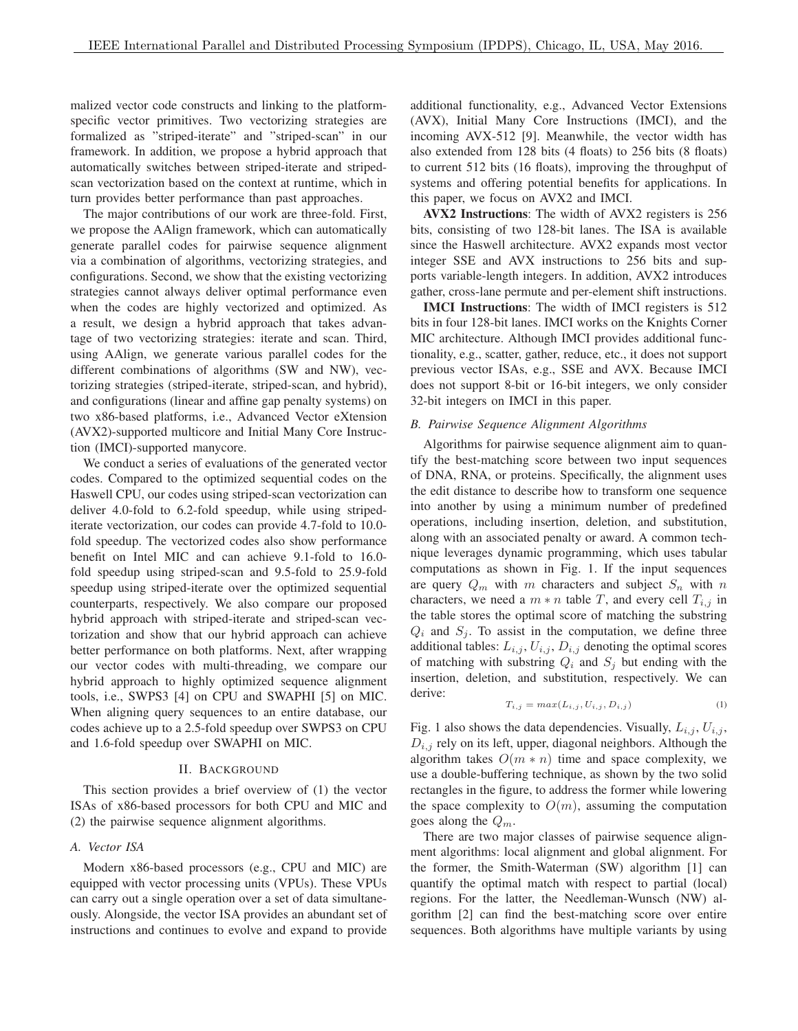malized vector code constructs and linking to the platformspecific vector primitives. Two vectorizing strategies are formalized as "striped-iterate" and "striped-scan" in our framework. In addition, we propose a hybrid approach that automatically switches between striped-iterate and stripedscan vectorization based on the context at runtime, which in turn provides better performance than past approaches.

The major contributions of our work are three-fold. First, we propose the AAlign framework, which can automatically generate parallel codes for pairwise sequence alignment via a combination of algorithms, vectorizing strategies, and configurations. Second, we show that the existing vectorizing strategies cannot always deliver optimal performance even when the codes are highly vectorized and optimized. As a result, we design a hybrid approach that takes advantage of two vectorizing strategies: iterate and scan. Third, using AAlign, we generate various parallel codes for the different combinations of algorithms (SW and NW), vectorizing strategies (striped-iterate, striped-scan, and hybrid), and configurations (linear and affine gap penalty systems) on two x86-based platforms, i.e., Advanced Vector eXtension (AVX2)-supported multicore and Initial Many Core Instruction (IMCI)-supported manycore.

We conduct a series of evaluations of the generated vector codes. Compared to the optimized sequential codes on the Haswell CPU, our codes using striped-scan vectorization can deliver 4.0-fold to 6.2-fold speedup, while using stripediterate vectorization, our codes can provide 4.7-fold to 10.0 fold speedup. The vectorized codes also show performance benefit on Intel MIC and can achieve 9.1-fold to 16.0 fold speedup using striped-scan and 9.5-fold to 25.9-fold speedup using striped-iterate over the optimized sequential counterparts, respectively. We also compare our proposed hybrid approach with striped-iterate and striped-scan vectorization and show that our hybrid approach can achieve better performance on both platforms. Next, after wrapping our vector codes with multi-threading, we compare our hybrid approach to highly optimized sequence alignment tools, i.e., SWPS3 [4] on CPU and SWAPHI [5] on MIC. When aligning query sequences to an entire database, our codes achieve up to a 2.5-fold speedup over SWPS3 on CPU and 1.6-fold speedup over SWAPHI on MIC.

#### II. BACKGROUND

This section provides a brief overview of (1) the vector ISAs of x86-based processors for both CPU and MIC and (2) the pairwise sequence alignment algorithms.

#### *A. Vector ISA*

Modern x86-based processors (e.g., CPU and MIC) are equipped with vector processing units (VPUs). These VPUs can carry out a single operation over a set of data simultaneously. Alongside, the vector ISA provides an abundant set of instructions and continues to evolve and expand to provide additional functionality, e.g., Advanced Vector Extensions (AVX), Initial Many Core Instructions (IMCI), and the incoming AVX-512 [9]. Meanwhile, the vector width has also extended from 128 bits (4 floats) to 256 bits (8 floats) to current 512 bits (16 floats), improving the throughput of systems and offering potential benefits for applications. In this paper, we focus on AVX2 and IMCI.

AVX2 Instructions: The width of AVX2 registers is 256 bits, consisting of two 128-bit lanes. The ISA is available since the Haswell architecture. AVX2 expands most vector integer SSE and AVX instructions to 256 bits and supports variable-length integers. In addition, AVX2 introduces gather, cross-lane permute and per-element shift instructions.

IMCI Instructions: The width of IMCI registers is 512 bits in four 128-bit lanes. IMCI works on the Knights Corner MIC architecture. Although IMCI provides additional functionality, e.g., scatter, gather, reduce, etc., it does not support previous vector ISAs, e.g., SSE and AVX. Because IMCI does not support 8-bit or 16-bit integers, we only consider 32-bit integers on IMCI in this paper.

#### *B. Pairwise Sequence Alignment Algorithms*

Algorithms for pairwise sequence alignment aim to quantify the best-matching score between two input sequences of DNA, RNA, or proteins. Specifically, the alignment uses the edit distance to describe how to transform one sequence into another by using a minimum number of predefined operations, including insertion, deletion, and substitution, along with an associated penalty or award. A common technique leverages dynamic programming, which uses tabular computations as shown in Fig. 1. If the input sequences are query  $Q_m$  with m characters and subject  $S_n$  with n characters, we need a  $m * n$  table T, and every cell  $T_{i,j}$  in the table stores the optimal score of matching the substring  $Q_i$  and  $S_i$ . To assist in the computation, we define three additional tables:  $L_{i,j}$ ,  $U_{i,j}$ ,  $D_{i,j}$  denoting the optimal scores of matching with substring  $Q_i$  and  $S_j$  but ending with the insertion, deletion, and substitution, respectively. We can derive:

$$
T_{i,j} = max(L_{i,j}, U_{i,j}, D_{i,j})
$$
\n(1)

Fig. 1 also shows the data dependencies. Visually,  $L_{i,j}$ ,  $U_{i,j}$ ,  $D_{i,j}$  rely on its left, upper, diagonal neighbors. Although the algorithm takes  $O(m * n)$  time and space complexity, we use a double-buffering technique, as shown by the two solid rectangles in the figure, to address the former while lowering the space complexity to  $O(m)$ , assuming the computation goes along the  $Q_m$ .

There are two major classes of pairwise sequence alignment algorithms: local alignment and global alignment. For the former, the Smith-Waterman (SW) algorithm [1] can quantify the optimal match with respect to partial (local) regions. For the latter, the Needleman-Wunsch (NW) algorithm [2] can find the best-matching score over entire sequences. Both algorithms have multiple variants by using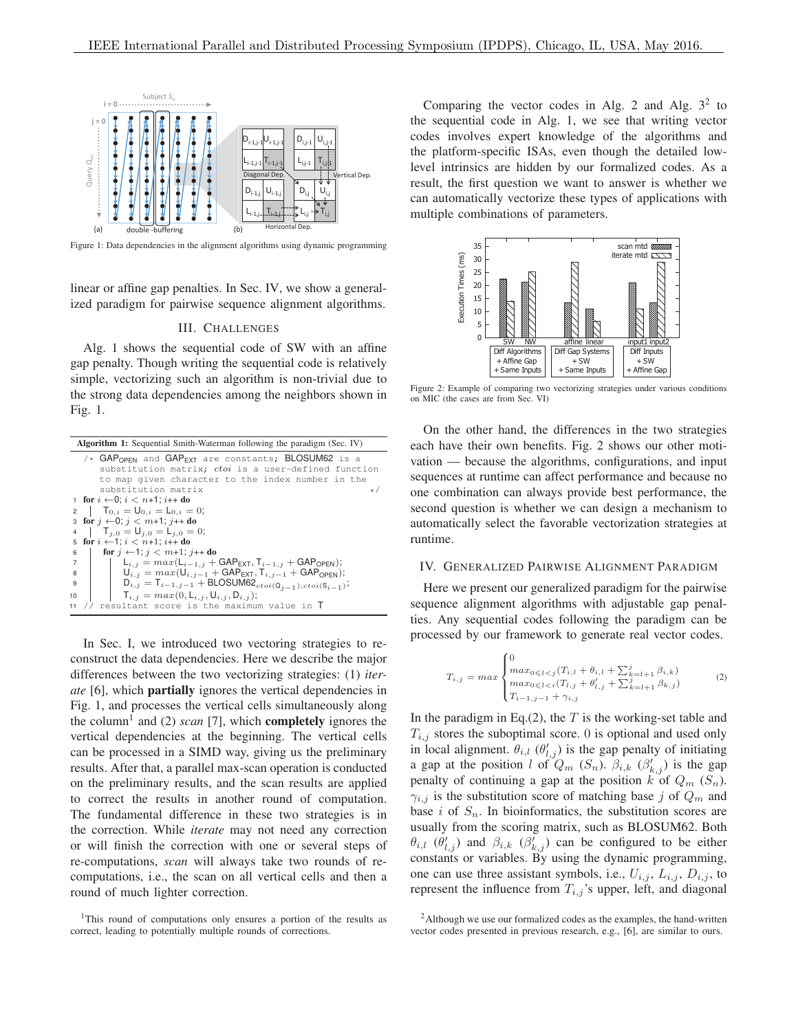

Figure 1: Data dependencies in the alignment algorithms using dynamic programming

linear or affine gap penalties. In Sec. IV, we show a generalized paradigm for pairwise sequence alignment algorithms.

# III. CHALLENGES

Alg. 1 shows the sequential code of SW with an affine gap penalty. Though writing the sequential code is relatively simple, vectorizing such an algorithm is non-trivial due to the strong data dependencies among the neighbors shown in Fig. 1.

|                | <b>Algorithm 1:</b> Sequential Smith-Waterman following the paradigm (Sec. IV)              |  |  |  |  |  |  |  |  |
|----------------|---------------------------------------------------------------------------------------------|--|--|--|--|--|--|--|--|
|                | /* $GAP_{OPEN}$ and $GAP_{EXT}$ are constants; BLOSUM62 is a                                |  |  |  |  |  |  |  |  |
|                | substitution matrix; ctoi is a user-defined function                                        |  |  |  |  |  |  |  |  |
|                | to map given character to the index number in the                                           |  |  |  |  |  |  |  |  |
|                | substitution matrix<br>$\star$ /                                                            |  |  |  |  |  |  |  |  |
|                | 1 for $i \leftarrow 0$ ; $i < n+1$ ; $i++$ do                                               |  |  |  |  |  |  |  |  |
|                | 2 $T_{0,i} = U_{0,i} = L_{0,i} = 0;$                                                        |  |  |  |  |  |  |  |  |
|                | 3 for $i \leftarrow 0$ ; $i < m+1$ ; $i++$ do                                               |  |  |  |  |  |  |  |  |
|                | $T_{i,0} = U_{i,0} = L_{i,0} = 0;$                                                          |  |  |  |  |  |  |  |  |
|                | 5 for $i \leftarrow 1$ ; $i < n+1$ ; $i++$ do                                               |  |  |  |  |  |  |  |  |
| 6              | for $j \leftarrow 1$ ; $j < m+1$ ; $j++$ do                                                 |  |  |  |  |  |  |  |  |
| $\overline{7}$ | $L_{i,j} = max(L_{i-1,j} + \text{GAP}_{\text{EXT}}, T_{i-1,j} + \text{GAP}_{\text{OPEN}});$ |  |  |  |  |  |  |  |  |
| 8              | $U_{i,j} = max(U_{i,j-1} + \text{GAP}_{\text{EXT}}, T_{i,j-1} + \text{GAP}_{\text{OPEN}});$ |  |  |  |  |  |  |  |  |
| 9              | $D_{i,j} = T_{i-1,j-1} + BLOSUM62_{ctoi(Q_{i-1}),ctoi(S_{i-1})};$                           |  |  |  |  |  |  |  |  |
| 10             | $T_{i,j} = max(0, L_{i,j}, U_{i,j}, D_{i,j});$                                              |  |  |  |  |  |  |  |  |
| 11             | // resultant score is the maximum value in T                                                |  |  |  |  |  |  |  |  |

In Sec. I, we introduced two vectoring strategies to reconstruct the data dependencies. Here we describe the major differences between the two vectorizing strategies: (1) *iterate* [6], which partially ignores the vertical dependencies in Fig. 1, and processes the vertical cells simultaneously along the column<sup>1</sup> and (2) *scan* [7], which **completely** ignores the vertical dependencies at the beginning. The vertical cells can be processed in a SIMD way, giving us the preliminary results. After that, a parallel max-scan operation is conducted on the preliminary results, and the scan results are applied to correct the results in another round of computation. The fundamental difference in these two strategies is in the correction. While *iterate* may not need any correction or will finish the correction with one or several steps of re-computations, *scan* will always take two rounds of recomputations, i.e., the scan on all vertical cells and then a round of much lighter correction.

Comparing the vector codes in Alg. 2 and Alg.  $3<sup>2</sup>$  to the sequential code in Alg. 1, we see that writing vector codes involves expert knowledge of the algorithms and the platform-specific ISAs, even though the detailed lowlevel intrinsics are hidden by our formalized codes. As a result, the first question we want to answer is whether we can automatically vectorize these types of applications with multiple combinations of parameters.



Figure 2: Example of comparing two vectorizing strategies under various conditions on MIC (the cases are from Sec. VI)

On the other hand, the differences in the two strategies each have their own benefits. Fig. 2 shows our other motivation — because the algorithms, configurations, and input sequences at runtime can affect performance and because no one combination can always provide best performance, the second question is whether we can design a mechanism to automatically select the favorable vectorization strategies at runtime.

#### IV. GENERALIZED PAIRWISE ALIGNMENT PARADIGM

Here we present our generalized paradigm for the pairwise sequence alignment algorithms with adjustable gap penalties. Any sequential codes following the paradigm can be processed by our framework to generate real vector codes.

$$
T_{i,j} = max \begin{cases} 0 & \text{if } \max_{0 \le l < j \left( T_{i,l} + \theta_{i,l} + \sum_{k=l+1}^{j} \beta_{i,k} \right) \\ max_{0 \le l < i \left( T_{l,j} + \theta'_{l,j} + \sum_{k=l+1}^{j} \beta_{k,j} \right) \\ T_{i-1,j-1} + \gamma_{i,j} & \text{if } \min_{j \le l} \left( T_{i,j} + \theta_{i,j} \right) \end{cases} \tag{2}
$$

In the paradigm in Eq.(2), the  $T$  is the working-set table and  $T_{i,j}$  stores the suboptimal score. 0 is optional and used only in local alignment.  $\theta_{i,l}$  ( $\theta'_{l,j}$ ) is the gap penalty of initiating a gap at the position l of  $Q_m$  (S<sub>n</sub>).  $\beta_{i,k}$  ( $\beta'_{k,j}$ ) is the gap penalty of continuing a gap at the position k of  $Q_m$  ( $S_n$ ).  $\gamma_{i,j}$  is the substitution score of matching base j of  $Q_m$  and base i of  $S_n$ . In bioinformatics, the substitution scores are usually from the scoring matrix, such as BLOSUM62. Both  $\theta_{i,l}$  ( $\theta'_{l,j}$ ) and  $\beta_{i,k}$  ( $\beta'_{k,j}$ ) can be configured to be either constants or variables. By using the dynamic programming, one can use three assistant symbols, i.e.,  $U_{i,j}$ ,  $L_{i,j}$ ,  $D_{i,j}$ , to represent the influence from  $T_{i,j}$ 's upper, left, and diagonal

<sup>1</sup>This round of computations only ensures a portion of the results as correct, leading to potentially multiple rounds of corrections.

<sup>&</sup>lt;sup>2</sup>Although we use our formalized codes as the examples, the hand-written vector codes presented in previous research, e.g., [6], are similar to ours.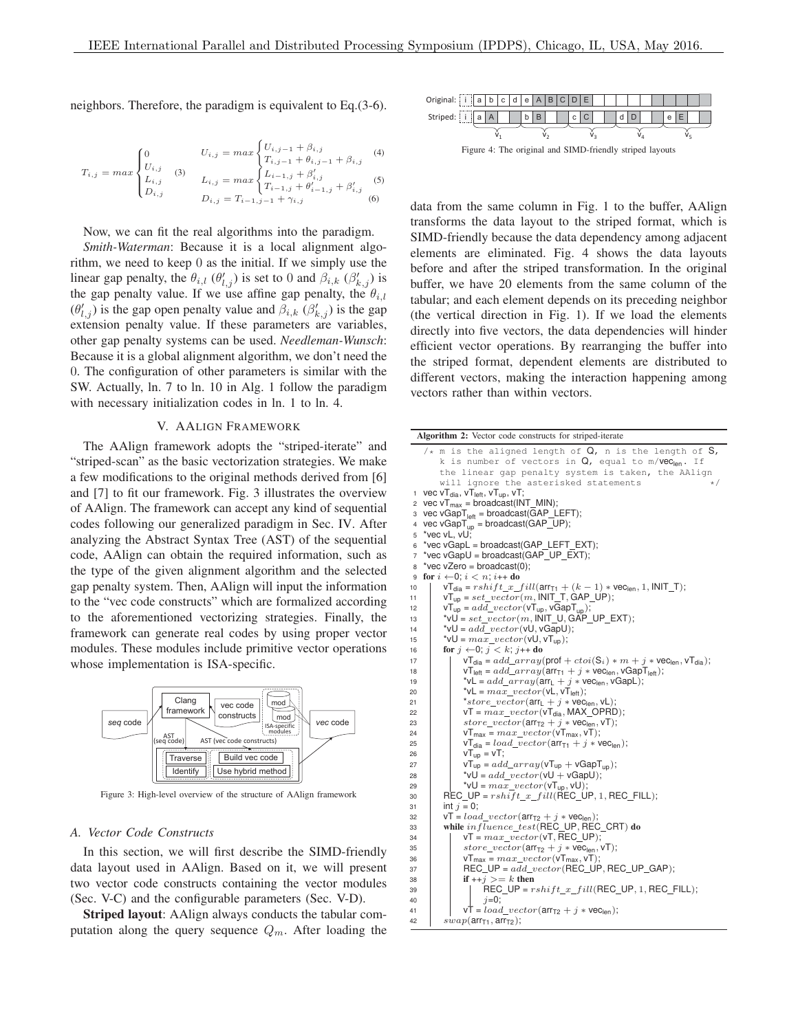neighbors. Therefore, the paradigm is equivalent to Eq.(3-6).

$$
T_{i,j} = max \begin{cases} 0 & U_{i,j} = max \begin{cases} U_{i,j-1} + \beta_{i,j} & (4) \\ U_{i,j} & (3) \\ L_{i,j} & U_{i,j} = max \begin{cases} L_{i-1,j} + \theta_{i,j-1} + \beta_{i,j} & (5) \\ L_{i-1,j} & M_{i-1,j} + \beta'_{i,j} \\ D_{i,j} & D_{i,j} = T_{i-1,j-1} + \gamma_{i,j} \end{cases} & (5) \end{cases}
$$

Now, we can fit the real algorithms into the paradigm.

*Smith-Waterman*: Because it is a local alignment algorithm, we need to keep 0 as the initial. If we simply use the linear gap penalty, the  $\theta_{i,l}$  ( $\theta'_{l,j}$ ) is set to 0 and  $\beta_{i,k}$  ( $\beta'_{k,j}$ ) is the gap penalty value. If we use affine gap penalty, the  $\theta_{i,l}$  $(\theta'_{l,j})$  is the gap open penalty value and  $\beta_{i,k}$  ( $\beta'_{k,j}$ ) is the gap extension penalty value. If these parameters are variables, other gap penalty systems can be used. *Needleman-Wunsch*: Because it is a global alignment algorithm, we don't need the 0. The configuration of other parameters is similar with the SW. Actually, ln. 7 to ln. 10 in Alg. 1 follow the paradigm with necessary initialization codes in ln. 1 to ln. 4.

#### V. AALIGN FRAMEWORK

The AAlign framework adopts the "striped-iterate" and "striped-scan" as the basic vectorization strategies. We make a few modifications to the original methods derived from [6] and [7] to fit our framework. Fig. 3 illustrates the overview of AAlign. The framework can accept any kind of sequential codes following our generalized paradigm in Sec. IV. After analyzing the Abstract Syntax Tree (AST) of the sequential code, AAlign can obtain the required information, such as the type of the given alignment algorithm and the selected gap penalty system. Then, AAlign will input the information to the "vec code constructs" which are formalized according to the aforementioned vectorizing strategies. Finally, the framework can generate real codes by using proper vector modules. These modules include primitive vector operations whose implementation is ISA-specific.



Figure 3: High-level overview of the structure of AAlign framework

## *A. Vector Code Constructs*

In this section, we will first describe the SIMD-friendly data layout used in AAlign. Based on it, we will present two vector code constructs containing the vector modules (Sec. V-C) and the configurable parameters (Sec. V-D).

Striped layout: AAlign always conducts the tabular computation along the query sequence  $Q_m$ . After loading the



Figure 4: The original and SIMD-friendly striped layouts

data from the same column in Fig. 1 to the buffer, AAlign transforms the data layout to the striped format, which is SIMD-friendly because the data dependency among adjacent elements are eliminated. Fig. 4 shows the data layouts before and after the striped transformation. In the original buffer, we have 20 elements from the same column of the tabular; and each element depends on its preceding neighbor (the vertical direction in Fig. 1). If we load the elements directly into five vectors, the data dependencies will hinder efficient vector operations. By rearranging the buffer into the striped format, dependent elements are distributed to different vectors, making the interaction happening among vectors rather than within vectors.

| Algorithm 2: Vector code constructs for striped-iterate                                                                                                                                                              |     |  |  |  |  |  |  |  |  |  |  |
|----------------------------------------------------------------------------------------------------------------------------------------------------------------------------------------------------------------------|-----|--|--|--|--|--|--|--|--|--|--|
| /* m is the aligned length of $Q$ , n is the length of $S$ ,<br>k is number of vectors in $Q$ , equal to m/VeClen. If<br>the linear gap penalty system is taken, the AAlign<br>will ignore the asterisked statements | * / |  |  |  |  |  |  |  |  |  |  |
| 1 vec $vT_{dia}$ , $vT_{left}$ , $vT_{up}$ , $vT$ ;                                                                                                                                                                  |     |  |  |  |  |  |  |  |  |  |  |
| 2 vec $vT_{max}$ = broadcast(INT_MIN);                                                                                                                                                                               |     |  |  |  |  |  |  |  |  |  |  |
| 3 vec vGapT <sub>left</sub> = broadcast(GAP_LEFT);                                                                                                                                                                   |     |  |  |  |  |  |  |  |  |  |  |
| vec vGap $T_{up}$ = broadcast(GAP_UP);                                                                                                                                                                               |     |  |  |  |  |  |  |  |  |  |  |
| *vec vL, vU;<br>5                                                                                                                                                                                                    |     |  |  |  |  |  |  |  |  |  |  |
| *vec vGapL = broadcast(GAP_LEFT_EXT);<br>6                                                                                                                                                                           |     |  |  |  |  |  |  |  |  |  |  |
| *vec vGapU = broadcast(GAP_UP_EXT);<br>$\overline{7}$                                                                                                                                                                |     |  |  |  |  |  |  |  |  |  |  |
| <i>*vec</i> $vZero = broadcast(0);$<br>8                                                                                                                                                                             |     |  |  |  |  |  |  |  |  |  |  |
| for $i \leftarrow 0$ ; $i < n$ ; $i++$ do<br>9                                                                                                                                                                       |     |  |  |  |  |  |  |  |  |  |  |
| $vT_{dia} = rshift\_x\_fill(arr_{T1} + (k - 1) * vec_{len}, 1, INIT_T);$<br>10                                                                                                                                       |     |  |  |  |  |  |  |  |  |  |  |
| $vT_{up} = set\_vector(m, \text{INIT\_T}, \text{GAP\_UP});$<br>11                                                                                                                                                    |     |  |  |  |  |  |  |  |  |  |  |
| $vT_{up} = add\_vector(vT_{up}, vGapT_{un});$<br>12                                                                                                                                                                  |     |  |  |  |  |  |  |  |  |  |  |
| $\text{``vU} = set\_vector(m, \text{INIT_U}, \text{GAP_UP\_EXT});$<br>13                                                                                                                                             |     |  |  |  |  |  |  |  |  |  |  |
| $\mathsf{vU} = add\_vector(\mathsf{vU}, \mathsf{vGapU});$<br>14                                                                                                                                                      |     |  |  |  |  |  |  |  |  |  |  |
| $\mathbf{v} \mathsf{U} = max\_vector(\mathsf{V} \mathsf{U}, \mathsf{v} \mathsf{T}_{\mathsf{up}});$<br>15                                                                                                             |     |  |  |  |  |  |  |  |  |  |  |
| for $j \leftarrow 0$ ; $j \leftarrow k$ ; $j++$ do<br>16                                                                                                                                                             |     |  |  |  |  |  |  |  |  |  |  |
| $vT_{dia} = add\_array(prot + ctoi(S_i) * m + j * vec_{len}, vT_{dia});$<br>17                                                                                                                                       |     |  |  |  |  |  |  |  |  |  |  |
| $vT_{\text{left}} = add\_array(\text{arr}_{T1} + j * \text{vec}_{\text{len}}, \text{vGap}T_{\text{left}});$<br>18                                                                                                    |     |  |  |  |  |  |  |  |  |  |  |
| *vL = $add\_array$ ( $array(arrL + j * veclen, vGapL)$ ;<br>19                                                                                                                                                       |     |  |  |  |  |  |  |  |  |  |  |
| *vL = $max\_vector$ (vL, vT <sub>left</sub> );<br>20                                                                                                                                                                 |     |  |  |  |  |  |  |  |  |  |  |
| *store_vector( $arr_L$ + j * vec <sub>len</sub> , vL);<br>21                                                                                                                                                         |     |  |  |  |  |  |  |  |  |  |  |
| $vT = max\_vector(vT_{dia}, MAX\_OPRD);$<br>22                                                                                                                                                                       |     |  |  |  |  |  |  |  |  |  |  |
| store_vector( $arr_{T2}$ + j * vec <sub>len</sub> , vT);<br>23                                                                                                                                                       |     |  |  |  |  |  |  |  |  |  |  |
| $vT_{max} = max\_vector(vT_{max}, vT);$<br>24                                                                                                                                                                        |     |  |  |  |  |  |  |  |  |  |  |
| $vT_{dia} = load\_vector(arr_{T1} + j * vec_{len});$<br>25                                                                                                                                                           |     |  |  |  |  |  |  |  |  |  |  |
| $vT_{up} = vT$ ;<br>26                                                                                                                                                                                               |     |  |  |  |  |  |  |  |  |  |  |
| $vT_{up} = add\_array(vT_{up} + vGapT_{un});$<br>27                                                                                                                                                                  |     |  |  |  |  |  |  |  |  |  |  |
| *vU = $add \, vector(vU + vGapU)$ ;<br>28                                                                                                                                                                            |     |  |  |  |  |  |  |  |  |  |  |
| $\mathsf{v} \cup \mathsf{v} = max\_vector(\mathsf{v} \mathsf{T}_{\mathsf{u} \mathsf{p}}, \mathsf{v} \mathsf{U});$<br>29                                                                                              |     |  |  |  |  |  |  |  |  |  |  |
| $\textsf{REC\_UP} = \textit{rshift\_x\_fill}(\textsf{REC\_UP}, 1, \textsf{REC\_FILL});$<br>30                                                                                                                        |     |  |  |  |  |  |  |  |  |  |  |
| int $j = 0$ ;<br>31                                                                                                                                                                                                  |     |  |  |  |  |  |  |  |  |  |  |
| $vT = load\_vector(\text{arr}_{T2} + j * vec_{len});$<br>32                                                                                                                                                          |     |  |  |  |  |  |  |  |  |  |  |
| while $influence\_test(REC\_UP, REC_CRT)$ do<br>33                                                                                                                                                                   |     |  |  |  |  |  |  |  |  |  |  |
| $vT = max\_vector(vT, REC_UP);$<br>34                                                                                                                                                                                |     |  |  |  |  |  |  |  |  |  |  |
| store_vector( $arr_{T2}$ + j * vec <sub>len</sub> , vT);<br>35                                                                                                                                                       |     |  |  |  |  |  |  |  |  |  |  |
| $vT_{max} = max\_vector(vT_{max}, vT);$<br>36                                                                                                                                                                        |     |  |  |  |  |  |  |  |  |  |  |
| $\mathsf{REC\_UP} = add\_vector(\mathsf{REC\_UP}, \mathsf{REC\_UP\_GAP});$<br>37                                                                                                                                     |     |  |  |  |  |  |  |  |  |  |  |
| if $++j>=k$ then<br>38<br>$\textsf{REC\_UP} = \textit{rshift\_x\_fill}(\textsf{REC\_UP}, 1, \textsf{REC\_FILL});$                                                                                                    |     |  |  |  |  |  |  |  |  |  |  |
| 39<br>$i=0$ ;                                                                                                                                                                                                        |     |  |  |  |  |  |  |  |  |  |  |
| 40<br>$vT = load\_vector(\text{arr}_{T2} + j * vec_{len});$                                                                                                                                                          |     |  |  |  |  |  |  |  |  |  |  |
| 41<br>$swap(\arr_{T1}, \arr_{T2})$ ;<br>42                                                                                                                                                                           |     |  |  |  |  |  |  |  |  |  |  |
|                                                                                                                                                                                                                      |     |  |  |  |  |  |  |  |  |  |  |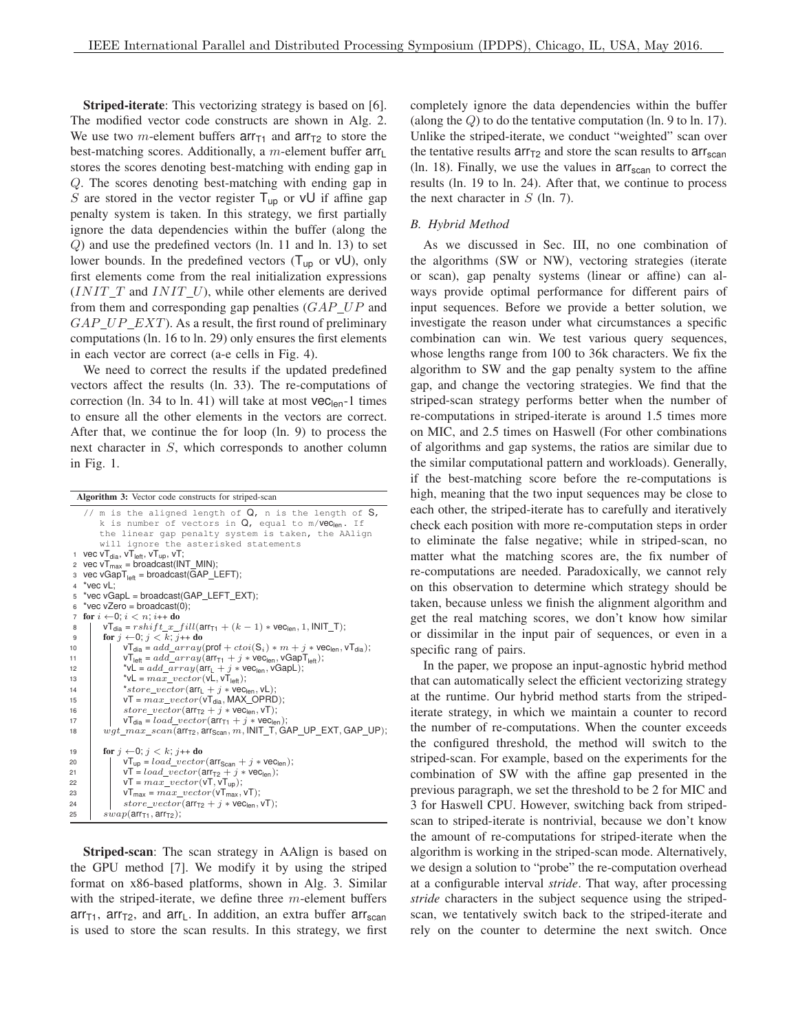Striped-iterate: This vectorizing strategy is based on [6]. The modified vector code constructs are shown in Alg. 2. We use two m-element buffers arrT1 and arrT2 to store the best-matching scores. Additionally, a  $m$ -element buffer  $arr_{L}$ stores the scores denoting best-matching with ending gap in Q. The scores denoting best-matching with ending gap in S are stored in the vector register  $T_{up}$  or  $vU$  if affine gap penalty system is taken. In this strategy, we first partially ignore the data dependencies within the buffer (along the Q) and use the predefined vectors (ln. 11 and ln. 13) to set lower bounds. In the predefined vectors  $(T_{up}$  or  $vU$ ), only first elements come from the real initialization expressions  $(INIT_T and INIT_U)$ , while other elements are derived from them and corresponding gap penalties  $(GAP_UP)$  and  $GAP\_UP\_EXT$ ). As a result, the first round of preliminary computations (ln. 16 to ln. 29) only ensures the first elements in each vector are correct (a-e cells in Fig. 4).

We need to correct the results if the updated predefined vectors affect the results (ln. 33). The re-computations of correction (ln. 34 to ln. 41) will take at most  $vec_{len}$ -1 times to ensure all the other elements in the vectors are correct. After that, we continue the for loop (ln. 9) to process the next character in S, which corresponds to another column in Fig. 1.

| Algorithm 3: Vector code constructs for striped-scan                                                                                                                                                                              |  |  |  |  |  |  |  |  |
|-----------------------------------------------------------------------------------------------------------------------------------------------------------------------------------------------------------------------------------|--|--|--|--|--|--|--|--|
| // m is the aligned length of $Q$ , n is the length of $S$ ,<br>k is number of vectors in $Q$ , equal to m/VeC <sub>len</sub> . If<br>the linear gap penalty system is taken, the AAlign<br>will ignore the asterisked statements |  |  |  |  |  |  |  |  |
| 1 vec $vT_{\text{dia}}$ , $vT_{\text{left}}$ , $vT_{\text{up}}$ , $vT$ ;                                                                                                                                                          |  |  |  |  |  |  |  |  |
| 2 vec $vT_{max}$ = broadcast(INT_MIN);                                                                                                                                                                                            |  |  |  |  |  |  |  |  |
| 3 vec vGap $T_{\text{left}}$ = broadcast(GAP_LEFT);                                                                                                                                                                               |  |  |  |  |  |  |  |  |
| 4 *vec vL:                                                                                                                                                                                                                        |  |  |  |  |  |  |  |  |
| 5 *vec vGapL = broadcast(GAP LEFT EXT);                                                                                                                                                                                           |  |  |  |  |  |  |  |  |
| $\circ$ *vec vZero = broadcast(0);                                                                                                                                                                                                |  |  |  |  |  |  |  |  |
| for $i \leftarrow 0$ ; $i < n$ ; $i++$ do<br>$\overline{7}$                                                                                                                                                                       |  |  |  |  |  |  |  |  |
| $vT_{\text{dia}} = rshift\_x\_fill(\text{arr}_{T1} + (k-1) * \text{vec}_{\text{len}}, 1, \text{INIT\_T});$<br>8                                                                                                                   |  |  |  |  |  |  |  |  |
| for $j \leftarrow 0$ ; $j < k$ ; $j++$ do<br>9                                                                                                                                                                                    |  |  |  |  |  |  |  |  |
| $vT_{\text{dia}} = add\_array(\text{prof} + ctoi(S_i) * m + j * vec_{\text{len}}, vT_{\text{dia}});$<br>10                                                                                                                        |  |  |  |  |  |  |  |  |
| $vT_{\text{left}} = add\_array(\text{arr}_{T1} + j * \text{vec}_{\text{len}}, \text{vGapT}_{\text{left}});$<br>11                                                                                                                 |  |  |  |  |  |  |  |  |
| *vL = $add\_array(\text{arr}_1 + j * \text{vec}_{\text{len}}, \text{vGapL});$<br>12                                                                                                                                               |  |  |  |  |  |  |  |  |
| $v = max\_vector(vL, vT_{\text{left}});$<br>13                                                                                                                                                                                    |  |  |  |  |  |  |  |  |
| *store_vector( $arr_L$ + j * vec <sub>len</sub> , vL);<br>14                                                                                                                                                                      |  |  |  |  |  |  |  |  |
| $vT = max \, vector(VT_{dia}, MAX \text{ OPRD});$<br>15                                                                                                                                                                           |  |  |  |  |  |  |  |  |
| store_vector( $arr_{T2}$ + j * vec <sub>len</sub> , vT);<br>16                                                                                                                                                                    |  |  |  |  |  |  |  |  |
| $vT_{dia} = load\_vector(arr_{T1} + j * vec_{len});$<br>17                                                                                                                                                                        |  |  |  |  |  |  |  |  |
| $wgt\_max\_scan(\arctan_{72}, \arccos_{can}, m, \text{INIT\_T}, \text{GAP\_UP\_EXT}, \text{GAP\_UP});$<br>18                                                                                                                      |  |  |  |  |  |  |  |  |
| for $j \leftarrow 0$ ; $j \leftarrow k$ ; $j++$ do<br>19                                                                                                                                                                          |  |  |  |  |  |  |  |  |
| $vT_{up} = load\_vector(\text{arr}_{Scan} + j * vec_{len});$<br>20                                                                                                                                                                |  |  |  |  |  |  |  |  |
| $vT = load\_vector(\text{arr}_{T2} + j * vec_{len});$<br>21                                                                                                                                                                       |  |  |  |  |  |  |  |  |
| $vT = max\_vector(vT, vT_{up});$<br>22                                                                                                                                                                                            |  |  |  |  |  |  |  |  |
| $vT_{max} = max\_vector(vT_{max}, vT);$<br>23                                                                                                                                                                                     |  |  |  |  |  |  |  |  |
| $store\_vector(\text{arr}_{T2} + j * \text{vec}_{\text{len}}, \text{vT});$<br>24                                                                                                                                                  |  |  |  |  |  |  |  |  |
| $swap(\arctan_1, arrT2)$ ;<br>25                                                                                                                                                                                                  |  |  |  |  |  |  |  |  |
|                                                                                                                                                                                                                                   |  |  |  |  |  |  |  |  |

Striped-scan: The scan strategy in AAlign is based on the GPU method [7]. We modify it by using the striped format on x86-based platforms, shown in Alg. 3. Similar with the striped-iterate, we define three  $m$ -element buffers  $arr_{T1}$ ,  $arr_{T2}$ , and  $arr_{L}$ . In addition, an extra buffer  $arr_{scan}$ is used to store the scan results. In this strategy, we first completely ignore the data dependencies within the buffer (along the Q) to do the tentative computation (ln. 9 to ln. 17). Unlike the striped-iterate, we conduct "weighted" scan over the tentative results  $\arctan \arctan 2$  and store the scan results to  $\arctan \arctan 2$ (ln. 18). Finally, we use the values in  $\arctan$  to correct the results (ln. 19 to ln. 24). After that, we continue to process the next character in  $S$  (ln. 7).

#### *B. Hybrid Method*

As we discussed in Sec. III, no one combination of the algorithms (SW or NW), vectoring strategies (iterate or scan), gap penalty systems (linear or affine) can always provide optimal performance for different pairs of input sequences. Before we provide a better solution, we investigate the reason under what circumstances a specific combination can win. We test various query sequences, whose lengths range from 100 to 36k characters. We fix the algorithm to SW and the gap penalty system to the affine gap, and change the vectoring strategies. We find that the striped-scan strategy performs better when the number of re-computations in striped-iterate is around 1.5 times more on MIC, and 2.5 times on Haswell (For other combinations of algorithms and gap systems, the ratios are similar due to the similar computational pattern and workloads). Generally, if the best-matching score before the re-computations is high, meaning that the two input sequences may be close to each other, the striped-iterate has to carefully and iteratively check each position with more re-computation steps in order to eliminate the false negative; while in striped-scan, no matter what the matching scores are, the fix number of re-computations are needed. Paradoxically, we cannot rely on this observation to determine which strategy should be taken, because unless we finish the alignment algorithm and get the real matching scores, we don't know how similar or dissimilar in the input pair of sequences, or even in a specific rang of pairs.

In the paper, we propose an input-agnostic hybrid method that can automatically select the efficient vectorizing strategy at the runtime. Our hybrid method starts from the stripediterate strategy, in which we maintain a counter to record the number of re-computations. When the counter exceeds the configured threshold, the method will switch to the striped-scan. For example, based on the experiments for the combination of SW with the affine gap presented in the previous paragraph, we set the threshold to be 2 for MIC and 3 for Haswell CPU. However, switching back from stripedscan to striped-iterate is nontrivial, because we don't know the amount of re-computations for striped-iterate when the algorithm is working in the striped-scan mode. Alternatively, we design a solution to "probe" the re-computation overhead at a configurable interval *stride*. That way, after processing *stride* characters in the subject sequence using the stripedscan, we tentatively switch back to the striped-iterate and rely on the counter to determine the next switch. Once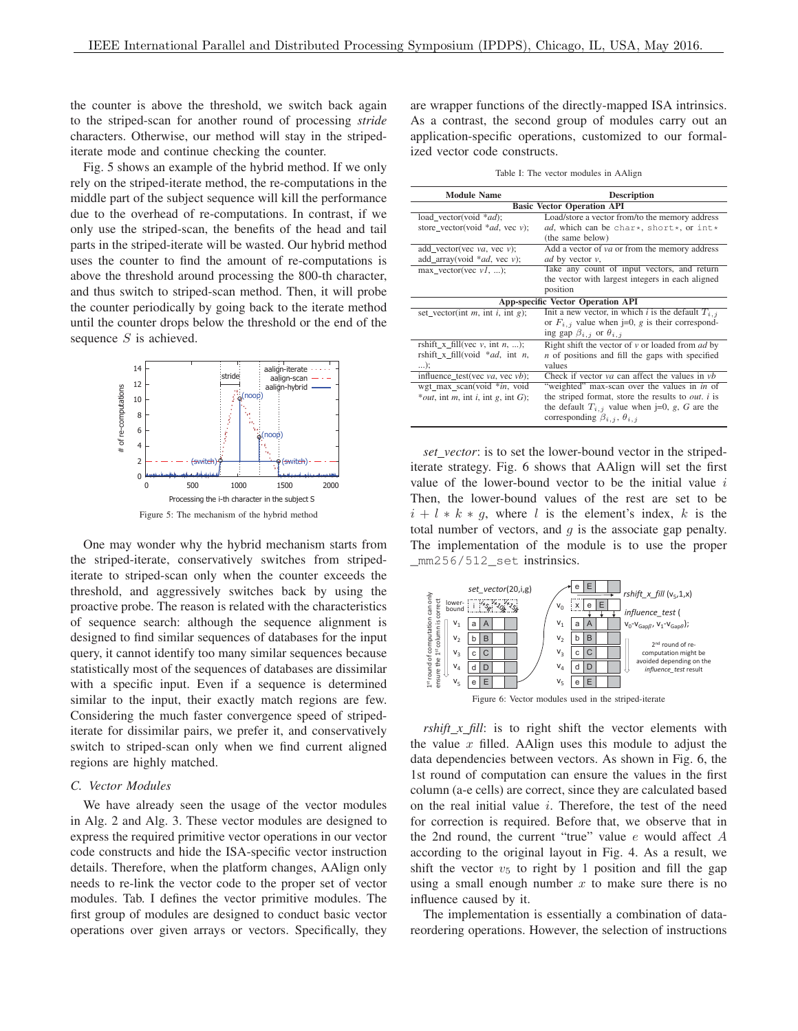the counter is above the threshold, we switch back again to the striped-scan for another round of processing *stride* characters. Otherwise, our method will stay in the stripediterate mode and continue checking the counter.

Fig. 5 shows an example of the hybrid method. If we only rely on the striped-iterate method, the re-computations in the middle part of the subject sequence will kill the performance due to the overhead of re-computations. In contrast, if we only use the striped-scan, the benefits of the head and tail parts in the striped-iterate will be wasted. Our hybrid method uses the counter to find the amount of re-computations is above the threshold around processing the 800-th character, and thus switch to striped-scan method. Then, it will probe the counter periodically by going back to the iterate method until the counter drops below the threshold or the end of the sequence S is achieved.



One may wonder why the hybrid mechanism starts from the striped-iterate, conservatively switches from stripediterate to striped-scan only when the counter exceeds the threshold, and aggressively switches back by using the proactive probe. The reason is related with the characteristics of sequence search: although the sequence alignment is designed to find similar sequences of databases for the input query, it cannot identify too many similar sequences because statistically most of the sequences of databases are dissimilar with a specific input. Even if a sequence is determined similar to the input, their exactly match regions are few. Considering the much faster convergence speed of stripediterate for dissimilar pairs, we prefer it, and conservatively switch to striped-scan only when we find current aligned regions are highly matched.

## *C. Vector Modules*

We have already seen the usage of the vector modules in Alg. 2 and Alg. 3. These vector modules are designed to express the required primitive vector operations in our vector code constructs and hide the ISA-specific vector instruction details. Therefore, when the platform changes, AAlign only needs to re-link the vector code to the proper set of vector modules. Tab. I defines the vector primitive modules. The first group of modules are designed to conduct basic vector operations over given arrays or vectors. Specifically, they are wrapper functions of the directly-mapped ISA intrinsics. As a contrast, the second group of modules carry out an application-specific operations, customized to our formalized vector code constructs.

Table I: The vector modules in AAlign

| <b>Module Name</b>                                                          | <b>Description</b>                                        |  |  |  |  |  |  |  |
|-----------------------------------------------------------------------------|-----------------------------------------------------------|--|--|--|--|--|--|--|
| <b>Basic Vector Operation API</b>                                           |                                                           |  |  |  |  |  |  |  |
| load vector(void *ad);                                                      | Load/store a vector from/to the memory address            |  |  |  |  |  |  |  |
| store_vector(void *ad, vec v);                                              | ad, which can be char*, short*, or int*                   |  |  |  |  |  |  |  |
|                                                                             | (the same below)                                          |  |  |  |  |  |  |  |
| add_vector(vec va, vec v);                                                  | Add a vector of va or from the memory address             |  |  |  |  |  |  |  |
| add_array(void *ad, vec v);                                                 | <i>ad</i> by vector <i>v</i> ,                            |  |  |  |  |  |  |  |
| $max\_vector(vec v1, )$ ;                                                   | Take any count of input vectors, and return               |  |  |  |  |  |  |  |
|                                                                             | the vector with largest integers in each aligned          |  |  |  |  |  |  |  |
|                                                                             | position                                                  |  |  |  |  |  |  |  |
|                                                                             | <b>App-specific Vector Operation API</b>                  |  |  |  |  |  |  |  |
| set_vector(int m, int i, int g);                                            | Init a new vector, in which i is the default $T_{i,j}$    |  |  |  |  |  |  |  |
|                                                                             | or $F_{i,j}$ value when j=0, g is their correspond-       |  |  |  |  |  |  |  |
|                                                                             | ing gap $\beta_{i,j}$ or $\theta_{i,j}$                   |  |  |  |  |  |  |  |
| rshift x fill(vec $v$ , int $n$ , );                                        | Right shift the vector of $v$ or loaded from <i>ad</i> by |  |  |  |  |  |  |  |
| rshift_x_fill(void $*ad$ , int <i>n</i> ,                                   | $n$ of positions and fill the gaps with specified         |  |  |  |  |  |  |  |
| );                                                                          | values                                                    |  |  |  |  |  |  |  |
| influence_test(vec va, vec vb);                                             | Check if vector $va$ can affect the values in $vb$        |  |  |  |  |  |  |  |
| wgt_max_scan(void *in, void                                                 | "weighted" max-scan over the values in in of              |  |  |  |  |  |  |  |
| * <i>out</i> , int <i>m</i> , int <i>i</i> , int <i>g</i> , int <i>G</i> ); | the striped format, store the results to <i>out. i</i> is |  |  |  |  |  |  |  |
|                                                                             | the default $T_{i,j}$ value when j=0, g, G are the        |  |  |  |  |  |  |  |
|                                                                             | corresponding $\beta_{i,j}$ , $\theta_{i,j}$              |  |  |  |  |  |  |  |

*set vector*: is to set the lower-bound vector in the stripediterate strategy. Fig. 6 shows that AAlign will set the first value of the lower-bound vector to be the initial value  $i$ Then, the lower-bound values of the rest are set to be  $i + l * k * g$ , where l is the element's index, k is the total number of vectors, and  $g$  is the associate gap penalty. The implementation of the module is to use the proper \_mm256/512\_set instrinsics.



*rshift\_x\_fill*: is to right shift the vector elements with the value  $x$  filled. AAlign uses this module to adjust the data dependencies between vectors. As shown in Fig. 6, the 1st round of computation can ensure the values in the first column (a-e cells) are correct, since they are calculated based on the real initial value i. Therefore, the test of the need for correction is required. Before that, we observe that in the 2nd round, the current "true" value e would affect A according to the original layout in Fig. 4. As a result, we shift the vector  $v_5$  to right by 1 position and fill the gap using a small enough number  $x$  to make sure there is no influence caused by it.

The implementation is essentially a combination of datareordering operations. However, the selection of instructions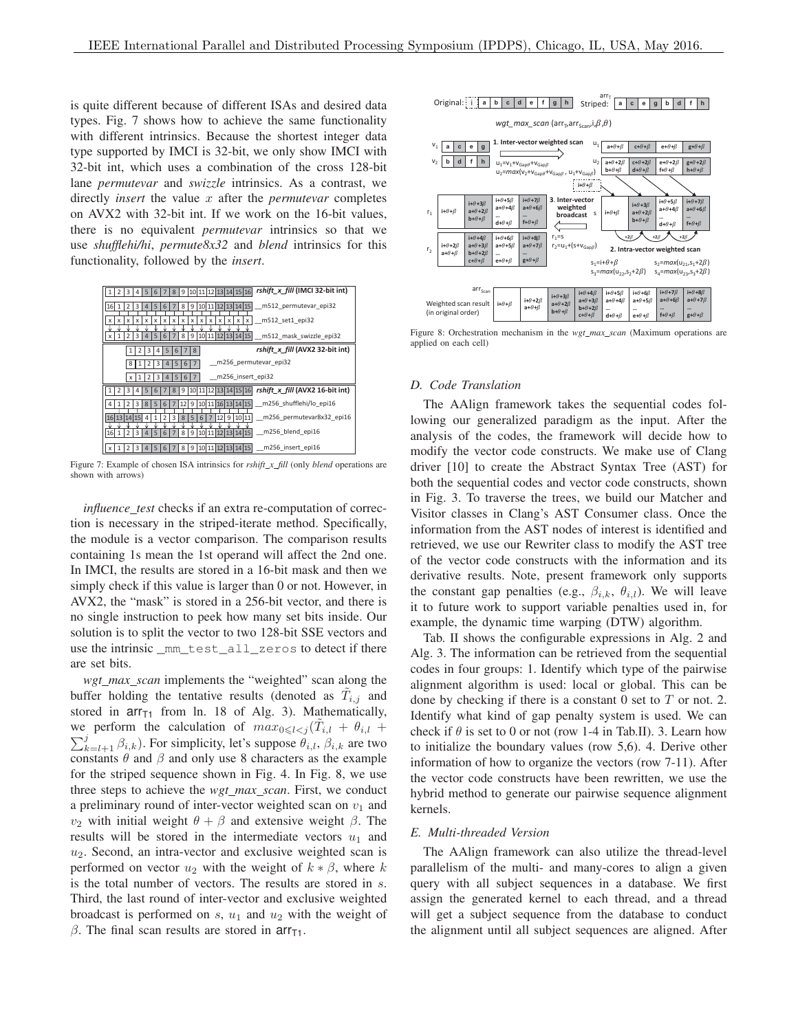is quite different because of different ISAs and desired data types. Fig. 7 shows how to achieve the same functionality with different intrinsics. Because the shortest integer data type supported by IMCI is 32-bit, we only show IMCI with 32-bit int, which uses a combination of the cross 128-bit lane *permutevar* and *swizzle* intrinsics. As a contrast, we directly *insert* the value x after the *permutevar* completes on AVX2 with 32-bit int. If we work on the 16-bit values, there is no equivalent *permutevar* intrinsics so that we use *shufflehi/hi*, *permute8x32* and *blend* intrinsics for this functionality, followed by the *insert*.

|                                       | 3 | 5                              | 6 |   | 8 |                 |                 |          |   | 9   10   11   12   13   14   15   16 |   |       |                     | rshift x fill (IMCI 32-bit int) |
|---------------------------------------|---|--------------------------------|---|---|---|-----------------|-----------------|----------|---|--------------------------------------|---|-------|---------------------|---------------------------------|
| 16                                    |   |                                | 5 | 6 |   | 8               | 9               |          |   |                                      |   |       | 10 11 12 13 14 15   | m512 permutevar epi32           |
| x<br>x                                |   | $\boldsymbol{\mathsf{x}}$<br>x | x | X | X | x               | X               | $\times$ | X | $\mathsf{x}$                         | x | x     | x                   | m512 set1 epi32                 |
|                                       |   |                                | 5 | 6 |   | 8               | 9               |          |   |                                      |   |       | 10 11 12 13 14 15   | m512 mask swizzle epi32         |
|                                       |   |                                | 3 | 5 | 6 | 7               | 8               |          |   |                                      |   |       |                     | rshift x fill (AVX2 32-bit int) |
|                                       |   |                                | 3 |   | 5 | 6               |                 |          |   |                                      |   |       |                     | m256 permutevar epi32           |
| m256 insert epi32<br>3<br>5<br>6<br>x |   |                                |   |   |   |                 |                 |          |   |                                      |   |       |                     |                                 |
|                                       |   |                                |   |   |   |                 |                 |          |   |                                      |   |       |                     |                                 |
|                                       |   |                                |   |   |   |                 | 10 <sup>1</sup> |          |   |                                      |   |       | 11 12 13 14 15 16   | rshift x fill (AVX2 16-bit int) |
|                                       |   | 8                              | 5 | 6 |   | 12 <sub>1</sub> | 9               |          |   |                                      |   |       | $10$ 11 16 13 14 15 | m256 shufflehi/lo epi16         |
| 16                                    |   | 15                             |   |   | 3 | 8               | 5               | 6        |   | 12                                   | 9 | 10 11 |                     | m256 permutevar8x32 epi16       |
| 16                                    |   |                                |   |   |   | 8               |                 | 10       |   |                                      |   |       | 15                  | m256 blend epi16                |

Figure 7: Example of chosen ISA intrinsics for *rshift\_x\_fill* (only *blend* operations are shown with arrows)

*influence test* checks if an extra re-computation of correction is necessary in the striped-iterate method. Specifically, the module is a vector comparison. The comparison results containing 1s mean the 1st operand will affect the 2nd one. In IMCI, the results are stored in a 16-bit mask and then we simply check if this value is larger than 0 or not. However, in AVX2, the "mask" is stored in a 256-bit vector, and there is no single instruction to peek how many set bits inside. Our solution is to split the vector to two 128-bit SSE vectors and use the intrinsic \_mm\_test\_all\_zeros to detect if there are set bits.

*wgt max scan* implements the "weighted" scan along the buffer holding the tentative results (denoted as  $\tilde{T}_{i,j}$  and stored in  $\arctan \arctan 18$  of Alg. 3). Mathematically, we perform the calculation of  $max_{0 \le l < j} (\tilde{T}_{i,l} + \theta_{i,l} +$  $\sum_{k=l+1}^{j} \beta_{i,k}$ ). For simplicity, let's suppose  $\hat{\theta}_{i,l}$ ,  $\beta_{i,k}$  are two constants  $\theta$  and  $\beta$  and only use 8 characters as the example for the striped sequence shown in Fig. 4. In Fig. 8, we use three steps to achieve the *wgt max scan*. First, we conduct a preliminary round of inter-vector weighted scan on  $v_1$  and  $v_2$  with initial weight  $θ + β$  and extensive weight  $β$ . The results will be stored in the intermediate vectors  $u_1$  and  $u_2$ . Second, an intra-vector and exclusive weighted scan is performed on vector  $u_2$  with the weight of  $k * \beta$ , where k is the total number of vectors. The results are stored in s. Third, the last round of inter-vector and exclusive weighted broadcast is performed on  $s$ ,  $u_1$  and  $u_2$  with the weight of β. The final scan results are stored in  $\arctan \frac{1}{11}$ .



Figure 8: Orchestration mechanism in the *wgt max scan* (Maximum operations are applied on each cell)

## *D. Code Translation*

The AAlign framework takes the sequential codes following our generalized paradigm as the input. After the analysis of the codes, the framework will decide how to modify the vector code constructs. We make use of Clang driver [10] to create the Abstract Syntax Tree (AST) for both the sequential codes and vector code constructs, shown in Fig. 3. To traverse the trees, we build our Matcher and Visitor classes in Clang's AST Consumer class. Once the information from the AST nodes of interest is identified and retrieved, we use our Rewriter class to modify the AST tree of the vector code constructs with the information and its derivative results. Note, present framework only supports the constant gap penalties (e.g.,  $\beta_{i,k}$ ,  $\theta_{i,l}$ ). We will leave it to future work to support variable penalties used in, for example, the dynamic time warping (DTW) algorithm.

Tab. II shows the configurable expressions in Alg. 2 and Alg. 3. The information can be retrieved from the sequential codes in four groups: 1. Identify which type of the pairwise alignment algorithm is used: local or global. This can be done by checking if there is a constant  $0$  set to  $T$  or not. 2. Identify what kind of gap penalty system is used. We can check if  $\theta$  is set to 0 or not (row 1-4 in Tab.II). 3. Learn how to initialize the boundary values (row 5,6). 4. Derive other information of how to organize the vectors (row 7-11). After the vector code constructs have been rewritten, we use the hybrid method to generate our pairwise sequence alignment kernels.

# *E. Multi-threaded Version*

The AAlign framework can also utilize the thread-level parallelism of the multi- and many-cores to align a given query with all subject sequences in a database. We first assign the generated kernel to each thread, and a thread will get a subject sequence from the database to conduct the alignment until all subject sequences are aligned. After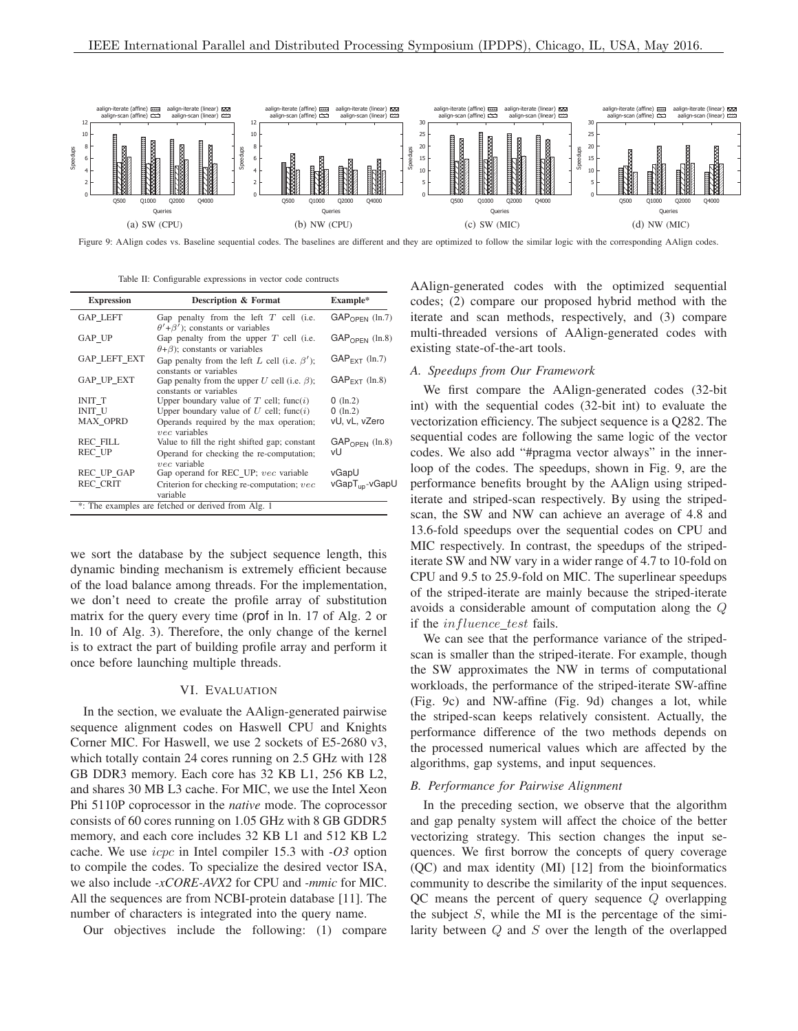

Figure 9: AAlign codes vs. Baseline sequential codes. The baselines are different and they are optimized to follow the similar logic with the corresponding AAlign codes.

Table II: Configurable expressions in vector code contructs

| <b>Expression</b>   | Description & Format                                                                     | Example*                   |
|---------------------|------------------------------------------------------------------------------------------|----------------------------|
| <b>GAP LEFT</b>     | Gap penalty from the left $T$ cell (i.e.<br>$\theta' + \beta'$ ; constants or variables  | $GAPOPEN$ (ln.7)           |
| GAP_UP              | Gap penalty from the upper $T$ cell (i.e.<br>$(\theta + \beta)$ ; constants or variables | $GAP_{OPFN}$ (ln.8)        |
| <b>GAP LEFT EXT</b> | Gap penalty from the left L cell (i.e. $\beta'$ );<br>constants or variables             | $GAP_{FXT}$ (ln.7)         |
| GAP UP EXT          | Gap penalty from the upper U cell (i.e. $\beta$ );<br>constants or variables             | $GAP_{FXT}$ (ln.8)         |
| INIT T              | Upper boundary value of $T$ cell; func(i)                                                | $0$ (ln.2)                 |
| INIT U              | Upper boundary value of $U$ cell; func $(i)$                                             | $0$ (ln.2)                 |
| <b>MAX OPRD</b>     | Operands required by the max operation;<br>$vec$ variables                               | vU, vL, vZero              |
| <b>REC FILL</b>     | Value to fill the right shifted gap; constant                                            | $GAPOPEN$ (ln.8)           |
| <b>REC UP</b>       | Operand for checking the re-computation;<br>$vec$ variable                               | vU                         |
| <b>REC UP GAP</b>   | Gap operand for REC_UP; vec variable                                                     | vGapU                      |
| <b>REC CRIT</b>     | Criterion for checking re-computation; vec<br>variable                                   | vGapT <sub>up</sub> -vGapU |
|                     | *: The examples are fetched or derived from Alg. 1                                       |                            |

we sort the database by the subject sequence length, this dynamic binding mechanism is extremely efficient because of the load balance among threads. For the implementation, we don't need to create the profile array of substitution matrix for the query every time (prof in ln. 17 of Alg. 2 or ln. 10 of Alg. 3). Therefore, the only change of the kernel is to extract the part of building profile array and perform it once before launching multiple threads.

## VI. EVALUATION

In the section, we evaluate the AAlign-generated pairwise sequence alignment codes on Haswell CPU and Knights Corner MIC. For Haswell, we use 2 sockets of E5-2680 v3, which totally contain 24 cores running on 2.5 GHz with 128 GB DDR3 memory. Each core has 32 KB L1, 256 KB L2, and shares 30 MB L3 cache. For MIC, we use the Intel Xeon Phi 5110P coprocessor in the *native* mode. The coprocessor consists of 60 cores running on 1.05 GHz with 8 GB GDDR5 memory, and each core includes 32 KB L1 and 512 KB L2 cache. We use icpc in Intel compiler 15.3 with *-O3* option to compile the codes. To specialize the desired vector ISA, we also include *-xCORE-AVX2* for CPU and *-mmic* for MIC. All the sequences are from NCBI-protein database [11]. The number of characters is integrated into the query name.

Our objectives include the following: (1) compare

AAlign-generated codes with the optimized sequential codes; (2) compare our proposed hybrid method with the iterate and scan methods, respectively, and (3) compare multi-threaded versions of AAlign-generated codes with existing state-of-the-art tools.

# *A. Speedups from Our Framework*

We first compare the AAlign-generated codes (32-bit int) with the sequential codes (32-bit int) to evaluate the vectorization efficiency. The subject sequence is a Q282. The sequential codes are following the same logic of the vector codes. We also add "#pragma vector always" in the innerloop of the codes. The speedups, shown in Fig. 9, are the performance benefits brought by the AAlign using stripediterate and striped-scan respectively. By using the stripedscan, the SW and NW can achieve an average of 4.8 and 13.6-fold speedups over the sequential codes on CPU and MIC respectively. In contrast, the speedups of the stripediterate SW and NW vary in a wider range of 4.7 to 10-fold on CPU and 9.5 to 25.9-fold on MIC. The superlinear speedups of the striped-iterate are mainly because the striped-iterate avoids a considerable amount of computation along the Q if the *influence\_test* fails.

We can see that the performance variance of the stripedscan is smaller than the striped-iterate. For example, though the SW approximates the NW in terms of computational workloads, the performance of the striped-iterate SW-affine (Fig. 9c) and NW-affine (Fig. 9d) changes a lot, while the striped-scan keeps relatively consistent. Actually, the performance difference of the two methods depends on the processed numerical values which are affected by the algorithms, gap systems, and input sequences.

# *B. Performance for Pairwise Alignment*

In the preceding section, we observe that the algorithm and gap penalty system will affect the choice of the better vectorizing strategy. This section changes the input sequences. We first borrow the concepts of query coverage (QC) and max identity (MI) [12] from the bioinformatics community to describe the similarity of the input sequences. QC means the percent of query sequence Q overlapping the subject  $S$ , while the MI is the percentage of the similarity between  $Q$  and  $S$  over the length of the overlapped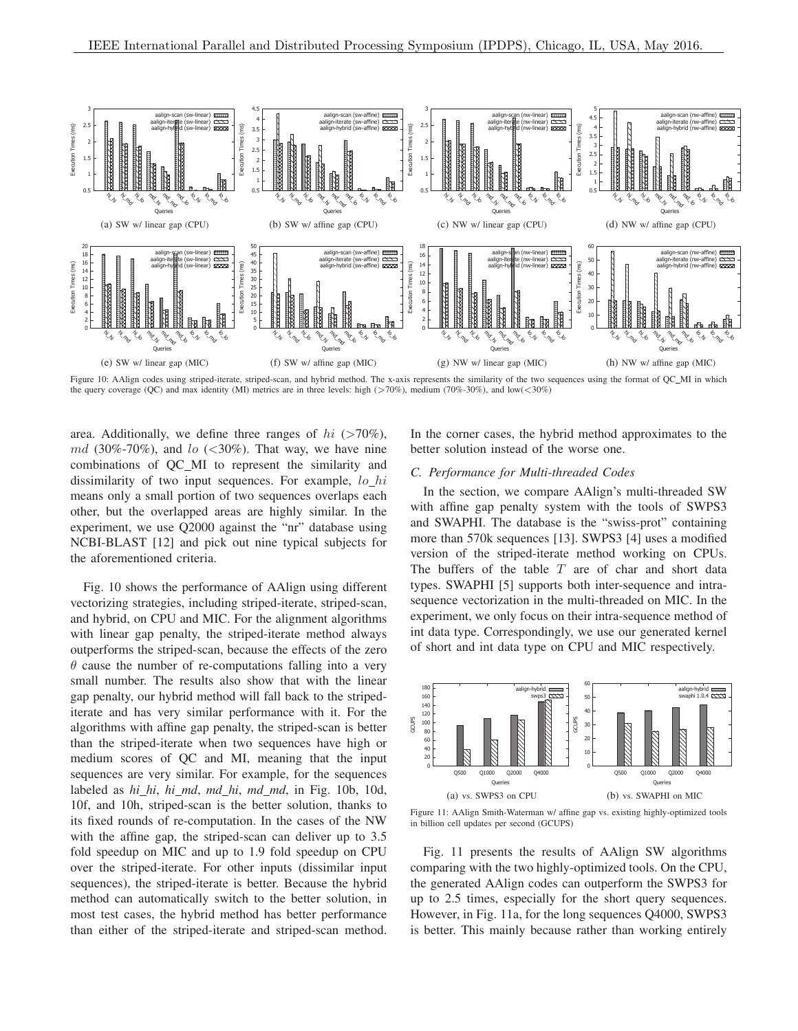

Figure 10: AAlign codes using striped-iterate, striped-scan, and hybrid method. The x-axis represents the similarity of the two sequences using the format of QC\_MI in which the query coverage (QC) and max identity (MI) metrics are in three levels: high ( $>70\%$ ), medium (70%-30%), and low( $<$ 30%)

area. Additionally, we define three ranges of  $hi$  (>70%),  $md(30\% - 70\%)$ , and  $lo(\lt; 30\%)$ . That way, we have nine combinations of QC MI to represent the similarity and dissimilarity of two input sequences. For example,  $lo_hi$ means only a small portion of two sequences overlaps each other, but the overlapped areas are highly similar. In the experiment, we use Q2000 against the "nr" database using NCBI-BLAST [12] and pick out nine typical subjects for the aforementioned criteria.

Fig. 10 shows the performance of AAlign using different vectorizing strategies, including striped-iterate, striped-scan, and hybrid, on CPU and MIC. For the alignment algorithms with linear gap penalty, the striped-iterate method always outperforms the striped-scan, because the effects of the zero  $\theta$  cause the number of re-computations falling into a very small number. The results also show that with the linear gap penalty, our hybrid method will fall back to the stripediterate and has very similar performance with it. For the algorithms with affine gap penalty, the striped-scan is better than the striped-iterate when two sequences have high or medium scores of QC and MI, meaning that the input sequences are very similar. For example, for the sequences labeled as *hi hi*, *hi md*, *md hi*, *md md*, in Fig. 10b, 10d, 10f, and 10h, striped-scan is the better solution, thanks to its fixed rounds of re-computation. In the cases of the NW with the affine gap, the striped-scan can deliver up to 3.5 fold speedup on MIC and up to 1.9 fold speedup on CPU over the striped-iterate. For other inputs (dissimilar input sequences), the striped-iterate is better. Because the hybrid method can automatically switch to the better solution, in most test cases, the hybrid method has better performance than either of the striped-iterate and striped-scan method. In the corner cases, the hybrid method approximates to the better solution instead of the worse one.

## *C. Performance for Multi-threaded Codes*

In the section, we compare AAlign's multi-threaded SW with affine gap penalty system with the tools of SWPS3 and SWAPHI. The database is the "swiss-prot" containing more than 570k sequences [13]. SWPS3 [4] uses a modified version of the striped-iterate method working on CPUs. The buffers of the table  $T$  are of char and short data types. SWAPHI [5] supports both inter-sequence and intrasequence vectorization in the multi-threaded on MIC. In the experiment, we only focus on their intra-sequence method of int data type. Correspondingly, we use our generated kernel of short and int data type on CPU and MIC respectively.



Figure 11: AAlign Smith-Waterman w/ affine gap vs. existing highly-optimized tools in billion cell updates per second (GCUPS)

Fig. 11 presents the results of AAlign SW algorithms comparing with the two highly-optimized tools. On the CPU, the generated AAlign codes can outperform the SWPS3 for up to 2.5 times, especially for the short query sequences. However, in Fig. 11a, for the long sequences Q4000, SWPS3 is better. This mainly because rather than working entirely